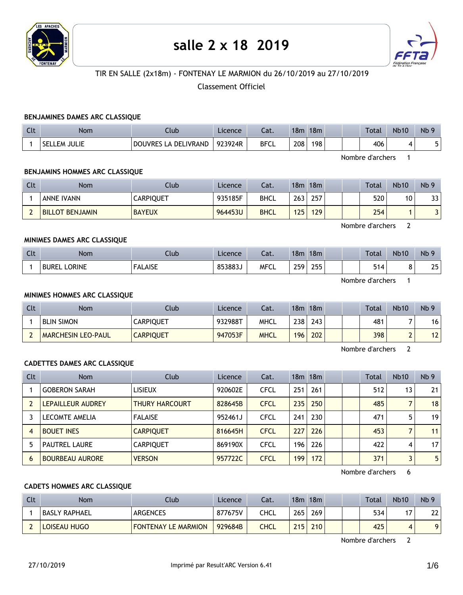

# **salle 2 x 18 2019**



# TIR EN SALLE (2x18m) - FONTENAY LE MARMION du 26/10/2019 au 27/10/2019

# Classement Officiel

#### **BENJAMINES DAMES ARC CLASSIQUE**

| Clt | Nom                     | Club                           | Licence | Lat.        | 18 <sub>m</sub> | 18m |  | Total | <b>Nb10</b> | N <sub>b</sub> 9 |
|-----|-------------------------|--------------------------------|---------|-------------|-----------------|-----|--|-------|-------------|------------------|
|     | .em Julie<br><b>SFI</b> | <b>DOUVRES</b><br>LA DELIVRAND | 923924R | <b>BFCL</b> | 208             | 198 |  | 406   |             |                  |

Nombre d'archers 1

#### **BENJAMINS HOMMES ARC CLASSIQUE**

| Clt | <b>Nom</b>                       | Club          | Licence | Cat.        | 18m | 18m |  | Total | <b>Nb10</b> | Nb <sub>9</sub> |
|-----|----------------------------------|---------------|---------|-------------|-----|-----|--|-------|-------------|-----------------|
|     | <b>ANNE IVANN</b>                | CARPIQUET     | 935185F | <b>BHCL</b> | 263 | 257 |  | 520   | 10          | 33              |
|     | <b>BENJAMIN</b><br><b>BILLOT</b> | <b>BAYEUX</b> | 964453U | <b>BHCL</b> | 125 | 129 |  | 254   |             |                 |

Nombre d'archers 2

### **MINIMES DAMES ARC CLASSIQUE**

| Clt | <b>Nom</b>          | Club           | Licence | $-1$<br>Lal. | 18 <sub>m</sub> | 18m               |  | Total        | <b>Nb10</b> | Nb <sub>9</sub> |
|-----|---------------------|----------------|---------|--------------|-----------------|-------------------|--|--------------|-------------|-----------------|
|     | <b>BUREL LORINE</b> | <b>FALAISE</b> | 853883J | <b>MFCL</b>  | 259             | つらら<br><b>LJJ</b> |  | E 4<br>″ ⊿ار |             | 25              |

Nombre d'archers 1

#### **MINIMES HOMMES ARC CLASSIQUE**

| Clt | <b>Nom</b>                | Club             | Licence | Cat.        | 18m | 18m  |  | <b>Total</b> | <b>Nb10</b> | Nb <sub>9</sub> |
|-----|---------------------------|------------------|---------|-------------|-----|------|--|--------------|-------------|-----------------|
|     | <b>BLIN SIMON</b>         | CARPIQUET        | 932988T | MHCL        | 238 | 243. |  | 481          |             | 16              |
|     | <b>MARCHESIN LEO-PAUL</b> | <b>CARPIQUET</b> | 947053F | <b>MHCL</b> | 196 | 202  |  | 398          |             | 12 <sup>1</sup> |

Nombre d'archers 2

#### **CADETTES DAMES ARC CLASSIQUE**

| <b>Clt</b> | <b>Nom</b>             | Club                  | Licence | Cat.        |     | 18m 18m |  | <b>Total</b> | <b>Nb10</b>     | Nb <sub>9</sub> |
|------------|------------------------|-----------------------|---------|-------------|-----|---------|--|--------------|-----------------|-----------------|
|            | <b>GOBERON SARAH</b>   | <b>LISIEUX</b>        | 920602E | <b>CFCL</b> | 251 | 261     |  | 512          | 13 <sub>1</sub> | 21              |
|            | LEPAILLEUR AUDREY      | <b>THURY HARCOURT</b> | 828645B | <b>CFCL</b> | 235 | 250     |  | 485          |                 | 18              |
|            | LECOMTE AMELIA         | <b>FALAISE</b>        | 952461J | <b>CFCL</b> | 241 | 230     |  | 471          | 5               | 19 <sup>1</sup> |
|            | <b>BOUET INES</b>      | <b>CARPIQUET</b>      | 816645H | <b>CFCL</b> | 227 | 226     |  | 453          |                 | 11              |
|            | <b>PAUTREL LAURE</b>   | <b>CARPIQUET</b>      | 869190X | <b>CFCL</b> | 196 | 226     |  | 422          | 4               | 17 <sup>1</sup> |
| 6          | <b>BOURBEAU AURORE</b> | <b>VERSON</b>         | 957722C | <b>CFCL</b> | 199 | 172     |  | 371          |                 | 5 <sup>1</sup>  |

Nombre d'archers 6

### **CADETS HOMMES ARC CLASSIQUE**

| Clt | Nom           | Club                       | Licence | Cat. | 18m | 18m |  | Total | <b>Nb10</b> | Nb <sub>9</sub> |
|-----|---------------|----------------------------|---------|------|-----|-----|--|-------|-------------|-----------------|
|     | BASLY RAPHAEL | <b>ARGENCES</b>            | 877675V | CHCL | 265 | 269 |  | 534   |             | າາ              |
|     | LOISEAU HUGO  | <b>FONTENAY LE MARMION</b> | 929684B | CHCL | 215 | 210 |  | 425   | 4           |                 |

Nombre d'archers 2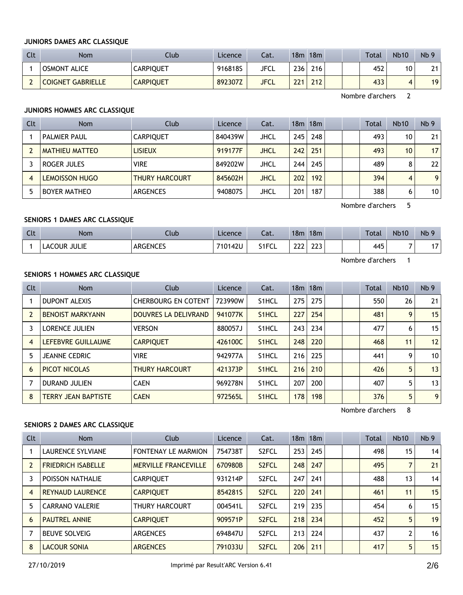#### **JUNIORS DAMES ARC CLASSIQUE**

| <b>Clt</b> | Nom                 | Club             | Licence | Cat.        | 18m | 18m              |  | <b>Total</b> | <b>Nb10</b> | Nb <sub>9</sub> |
|------------|---------------------|------------------|---------|-------------|-----|------------------|--|--------------|-------------|-----------------|
|            | <b>OSMONT ALICE</b> | CARPIQUET        | 916818S | JFCL        | 236 | 216 <sub>1</sub> |  | 452          | 10          | 21              |
| <b>.</b>   | COIGNET GABRIELLE   | <b>CARPIQUET</b> | 892307Z | <b>JFCL</b> | 221 | 212 <sub>1</sub> |  | 433          |             | 19              |

Nombre d'archers 2

# **JUNIORS HOMMES ARC CLASSIQUE**

| Clt | <b>Nom</b>            | Club                  | Licence | Cat.        |     | 18 <sub>m</sub> 18 <sub>m</sub> |  | Total | <b>Nb10</b>     | Nb <sub>9</sub> |
|-----|-----------------------|-----------------------|---------|-------------|-----|---------------------------------|--|-------|-----------------|-----------------|
|     | <b>PALMIER PAUL</b>   | <b>CARPIOUET</b>      | 840439W | JHCL        | 245 | 248                             |  | 493   | 10              | 21              |
|     | <b>MATHIEU MATTEO</b> | <b>LISIEUX</b>        | 919177F | <b>JHCL</b> | 242 | 251                             |  | 493   | 10 <sup>1</sup> | 17 <sub>1</sub> |
|     | ROGER JULES           | <b>VIRE</b>           | 849202W | JHCL        | 244 | 245                             |  | 489   | 8               | 22              |
| 4   | <b>LEMOISSON HUGO</b> | <b>THURY HARCOURT</b> | 845602H | JHCL        | 202 | 192                             |  | 394   | 4               | 9 <sub>1</sub>  |
|     | <b>BOYER MATHEO</b>   | <b>ARGENCES</b>       | 940807S | JHCL        | 201 | 187                             |  | 388   | 6               | 10 <sup>1</sup> |

Nombre d'archers 5

# **SENIORS 1 DAMES ARC CLASSIQUE**

| Clt | Nom          | Jlub     | Licence | Cat.  | 18 <sub>m</sub>       | 18m        |  | Total | <b>Nb10</b> | Nb <sub>9</sub> |
|-----|--------------|----------|---------|-------|-----------------------|------------|--|-------|-------------|-----------------|
|     | LACOUR JULIE | ARGENCES | 710142U | S1FCL | 222<br>. . <i>. .</i> | כרר<br>دعه |  | 445   | -           | -               |

Nombre d'archers 1

# **SENIORS 1 HOMMES ARC CLASSIQUE**

| <b>Clt</b> | <b>Nom</b>                 | <b>Club</b>                 | Licence | Cat.               |     | $18m$ 18 $m$ |  | <b>Total</b> | <b>Nb10</b> | Nb <sub>9</sub> |
|------------|----------------------------|-----------------------------|---------|--------------------|-----|--------------|--|--------------|-------------|-----------------|
|            | <b>DUPONT ALEXIS</b>       | <b>CHERBOURG EN COTENT</b>  | 723990W | S <sub>1</sub> HCL | 275 | 275          |  | 550          | 26          | 21              |
|            | <b>BENOIST MARKYANN</b>    | <b>DOUVRES LA DELIVRAND</b> | 941077K | S <sub>1</sub> HCL | 227 | 254          |  | 481          | 9           | 15              |
|            | <b>LORENCE JULIEN</b>      | <b>VERSON</b>               | 880057J | S <sub>1</sub> HCL | 243 | 234          |  | 477          | 6           | 15 <sup>1</sup> |
| 4          | LEFEBVRE GUILLAUME         | <b>CARPIQUET</b>            | 426100C | S <sub>1</sub> HCL | 248 | 220          |  | 468          | 11          | 12              |
| 5          | <b>JEANNE CEDRIC</b>       | <b>VIRE</b>                 | 942977A | S <sub>1</sub> HCL | 216 | 225          |  | 441          | 9           | 10 <sup>1</sup> |
| 6          | PICOT NICOLAS              | <b>THURY HARCOURT</b>       | 421373P | S <sub>1</sub> HCL | 216 | 210          |  | 426          | 5           | 13              |
|            | <b>DURAND JULIEN</b>       | <b>CAEN</b>                 | 969278N | S <sub>1</sub> HCL | 207 | 200          |  | 407          | 5.          | 13              |
| 8          | <b>TERRY JEAN BAPTISTE</b> | <b>CAEN</b>                 | 972565L | S <sub>1</sub> HCL | 178 | 198          |  | 376          | 5           | 9 <sup>1</sup>  |

Nombre d'archers 8

# **SENIORS 2 DAMES ARC CLASSIQUE**

| Clt            | <b>Nom</b>                | Club                        | Licence | Cat.               |     | $18m$ 18 $m$ |  | Total | <b>Nb10</b> | Nb <sub>9</sub> |
|----------------|---------------------------|-----------------------------|---------|--------------------|-----|--------------|--|-------|-------------|-----------------|
|                | <b>LAURENCE SYLVIANE</b>  | <b>FONTENAY LE MARMION</b>  | 754738T | S <sub>2</sub> FCL | 253 | 245          |  | 498   | 15          | 14              |
| $\overline{2}$ | <b>FRIEDRICH ISABELLE</b> | <b>MERVILLE FRANCEVILLE</b> | 670980B | S <sub>2</sub> FCL | 248 | 247          |  | 495   |             | 21              |
|                | POISSON NATHALIE          | <b>CARPIOUET</b>            | 931214P | S <sub>2</sub> FCL | 247 | 241          |  | 488   | 13          | 14              |
| $\overline{4}$ | <b>REYNAUD LAURENCE</b>   | <b>CARPIQUET</b>            | 854281S | S <sub>2</sub> FCL | 220 | 241          |  | 461   | 11          | 15              |
| 5              | <b>CARRANO VALERIE</b>    | <b>THURY HARCOURT</b>       | 004541L | S <sub>2</sub> FCL | 219 | 235          |  | 454   | 6           | 15              |
| 6              | <b>PAUTREL ANNIE</b>      | <b>CARPIOUET</b>            | 909571P | S <sub>2</sub> FCL | 218 | 234          |  | 452   | 5           | 19              |
|                | <b>BEUVE SOLVEIG</b>      | <b>ARGENCES</b>             | 694847U | S <sub>2</sub> FCL | 213 | 224          |  | 437   | 2           | 16              |
| 8              | <b>LACOUR SONIA</b>       | <b>ARGENCES</b>             | 791033U | S <sub>2</sub> FCL | 206 | 211          |  | 417   | 5           | 15              |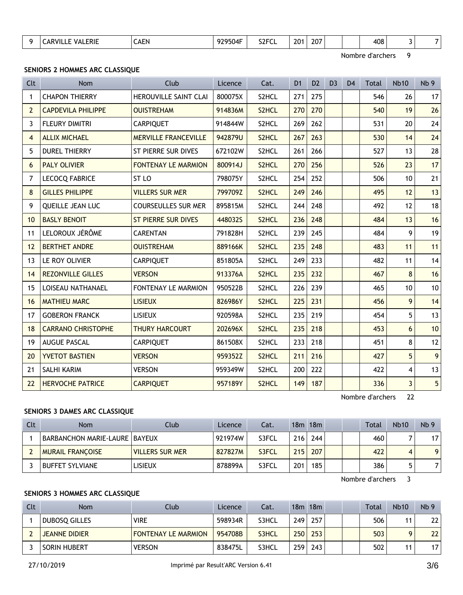| 408<br><b>SOFCI</b><br>207<br>.<br>201<br>$\cdots$<br>.erie<br>79504F<br>า⊢N<br>.<br>чn.<br>المد<br>$27 - 1$<br>ு<br>ີ<br>$ -$<br>the contract of the contract of the contract of the contract of the contract of<br>$\sim$<br>_____ |
|--------------------------------------------------------------------------------------------------------------------------------------------------------------------------------------------------------------------------------------|
|--------------------------------------------------------------------------------------------------------------------------------------------------------------------------------------------------------------------------------------|

Nombre d'archers 9

# **SENIORS 2 HOMMES ARC CLASSIQUE**

| Clt            | Nom                       | Club                        | Licence | Cat.  | D <sub>1</sub> | D <sub>2</sub> | D <sub>3</sub> | D <sub>4</sub> | <b>Total</b> | <b>Nb10</b>             | Nb <sub>9</sub> |
|----------------|---------------------------|-----------------------------|---------|-------|----------------|----------------|----------------|----------------|--------------|-------------------------|-----------------|
| 1              | <b>CHAPON THIERRY</b>     | HEROUVILLE SAINT CLAI       | 800075X | S2HCL | 271            | 275            |                |                | 546          | 26                      | 17              |
| $\overline{2}$ | <b>CAPDEVILA PHILIPPE</b> | <b>OUISTREHAM</b>           | 914836M | S2HCL | 270            | 270            |                |                | 540          | 19                      | 26              |
| 3              | FLEURY DIMITRI            | <b>CARPIQUET</b>            | 914844W | S2HCL | 269            | 262            |                |                | 531          | 20                      | 24              |
| $\overline{4}$ | <b>ALLIX MICHAEL</b>      | <b>MERVILLE FRANCEVILLE</b> | 942879U | S2HCL | 267            | 263            |                |                | 530          | 14                      | 24              |
| 5              | <b>DUREL THIERRY</b>      | ST PIERRE SUR DIVES         | 672102W | S2HCL | 261            | 266            |                |                | 527          | 13                      | 28              |
| 6              | <b>PALY OLIVIER</b>       | <b>FONTENAY LE MARMION</b>  | 800914J | S2HCL | 270            | 256            |                |                | 526          | 23                      | 17              |
| 7              | <b>LECOCQ FABRICE</b>     | ST <sub>LO</sub>            | 798075Y | S2HCL | 254            | 252            |                |                | 506          | 10                      | 21              |
| 8              | <b>GILLES PHILIPPE</b>    | <b>VILLERS SUR MER</b>      | 799709Z | S2HCL | 249            | 246            |                |                | 495          | 12                      | 13              |
| 9              | QUEILLE JEAN LUC          | <b>COURSEULLES SUR MER</b>  | 895815M | S2HCL | 244            | 248            |                |                | 492          | 12                      | 18              |
| 10             | <b>BASLY BENOIT</b>       | <b>ST PIERRE SUR DIVES</b>  | 448032S | S2HCL | 236            | 248            |                |                | 484          | 13                      | 16              |
| 11             | LELOROUX JÉRÔME           | <b>CARENTAN</b>             | 791828H | S2HCL | 239            | 245            |                |                | 484          | 9                       | 19              |
| 12             | <b>BERTHET ANDRE</b>      | <b>OUISTREHAM</b>           | 889166K | S2HCL | 235            | 248            |                |                | 483          | 11                      | 11              |
| 13             | LE ROY OLIVIER            | <b>CARPIQUET</b>            | 851805A | S2HCL | 249            | 233            |                |                | 482          | 11                      | 14              |
| 14             | <b>REZONVILLE GILLES</b>  | <b>VERSON</b>               | 913376A | S2HCL | 235            | 232            |                |                | 467          | 8                       | 16              |
| 15             | LOISEAU NATHANAEL         | <b>FONTENAY LE MARMION</b>  | 950522B | S2HCL | 226            | 239            |                |                | 465          | 10                      | 10              |
| 16             | <b>MATHIEU MARC</b>       | <b>LISIEUX</b>              | 826986Y | S2HCL | 225            | 231            |                |                | 456          | 9                       | 14              |
| 17             | <b>GOBERON FRANCK</b>     | <b>LISIEUX</b>              | 920598A | S2HCL | 235            | 219            |                |                | 454          | 5                       | 13              |
| 18             | <b>CARRANO CHRISTOPHE</b> | <b>THURY HARCOURT</b>       | 202696X | S2HCL | 235            | 218            |                |                | 453          | 6                       | 10              |
| 19             | <b>AUGUE PASCAL</b>       | <b>CARPIQUET</b>            | 861508X | S2HCL | 233            | 218            |                |                | 451          | 8                       | 12              |
| 20             | <b>YVETOT BASTIEN</b>     | <b>VERSON</b>               | 959352Z | S2HCL | 211            | 216            |                |                | 427          | 5                       | 9 <sup>1</sup>  |
| 21             | SALHI KARIM               | <b>VERSON</b>               | 959349W | S2HCL | 200            | 222            |                |                | 422          | $\overline{4}$          | 13              |
| 22             | <b>HERVOCHE PATRICE</b>   | <b>CARPIQUET</b>            | 957189Y | S2HCL | 149            | 187            |                |                | 336          | $\overline{\mathbf{3}}$ | 5 <sup>1</sup>  |

Nombre d'archers 22

#### **SENIORS 3 DAMES ARC CLASSIQUE**

| Clt | <b>Nom</b>                      | Club                   | Licence   | Cat.  |     | 18m 18m |  | <b>Total</b> | <b>Nb10</b> | Nb <sub>9</sub> |
|-----|---------------------------------|------------------------|-----------|-------|-----|---------|--|--------------|-------------|-----------------|
|     | BARBANCHON MARIE-LAURE   BAYEUX |                        | . 921974W | S3FCL | 216 | 244     |  | 460          |             | 17              |
|     | <b>MURAIL FRANCOISE</b>         | <b>VILLERS SUR MER</b> | 827827M   | S3FCL | 215 | 207     |  | 422          |             | $\overline{9}$  |
|     | BUFFET SYLVIANE                 | LISIEUX                | 878899A   | S3FCL | 201 | 185     |  | 386          |             | 71              |

Nombre d'archers 3

# **SENIORS 3 HOMMES ARC CLASSIQUE**

| Clt | <b>Nom</b>           | Club.                      | Licence | Cat.  |     | 18m 18m |  | Total | <b>Nb10</b> | Nb <sub>9</sub> |
|-----|----------------------|----------------------------|---------|-------|-----|---------|--|-------|-------------|-----------------|
|     | <b>DUBOSQ GILLES</b> | <b>VIRE</b>                | 598934R | S3HCL | 249 | 257     |  | 506   |             | 22              |
|     | <b>JEANNE DIDIER</b> | <b>FONTENAY LE MARMION</b> | 954708B | S3HCL | 250 | 253     |  | 503   |             | 22              |
|     | SORIN HUBERT         | <b>VERSON</b>              | 838475L | S3HCL | 259 | 243     |  | 502   |             | 17              |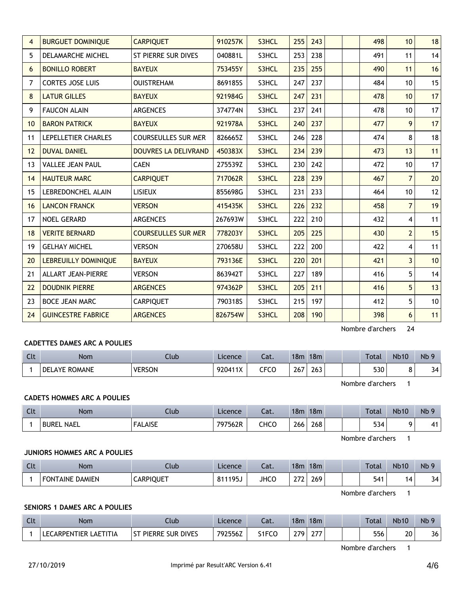| 4  | <b>BURGUET DOMINIQUE</b>  | <b>CARPIQUET</b>            | 910257K | S3HCL | 255 | 243 |  | 498 | 10 <sup>1</sup>         | 18 |
|----|---------------------------|-----------------------------|---------|-------|-----|-----|--|-----|-------------------------|----|
| 5  | <b>DELAMARCHE MICHEL</b>  | ST PIERRE SUR DIVES         | 040881L | S3HCL | 253 | 238 |  | 491 | 11                      | 14 |
| 6  | <b>BONILLO ROBERT</b>     | <b>BAYEUX</b>               | 753455Y | S3HCL | 235 | 255 |  | 490 | 11                      | 16 |
| 7  | <b>CORTES JOSE LUIS</b>   | <b>OUISTREHAM</b>           | 869185S | S3HCL | 247 | 237 |  | 484 | 10                      | 15 |
| 8  | <b>LATUR GILLES</b>       | <b>BAYEUX</b>               | 921984G | S3HCL | 247 | 231 |  | 478 | 10                      | 17 |
| 9  | <b>FAUCON ALAIN</b>       | <b>ARGENCES</b>             | 374774N | S3HCL | 237 | 241 |  | 478 | 10                      | 17 |
| 10 | <b>BARON PATRICK</b>      | <b>BAYEUX</b>               | 921978A | S3HCL | 240 | 237 |  | 477 | 9                       | 17 |
| 11 | LEPELLETIER CHARLES       | <b>COURSEULLES SUR MER</b>  | 826665Z | S3HCL | 246 | 228 |  | 474 | 8                       | 18 |
| 12 | <b>DUVAL DANIEL</b>       | <b>DOUVRES LA DELIVRAND</b> | 450383X | S3HCL | 234 | 239 |  | 473 | 13                      | 11 |
| 13 | <b>VALLEE JEAN PAUL</b>   | <b>CAEN</b>                 | 275539Z | S3HCL | 230 | 242 |  | 472 | 10                      | 17 |
| 14 | <b>HAUTEUR MARC</b>       | <b>CARPIQUET</b>            | 717062R | S3HCL | 228 | 239 |  | 467 | $\overline{7}$          | 20 |
| 15 | LEBREDONCHEL ALAIN        | <b>LISIEUX</b>              | 855698G | S3HCL | 231 | 233 |  | 464 | 10                      | 12 |
| 16 | <b>LANCON FRANCK</b>      | <b>VERSON</b>               | 415435K | S3HCL | 226 | 232 |  | 458 | $\overline{7}$          | 19 |
| 17 | <b>NOEL GERARD</b>        | <b>ARGENCES</b>             | 267693W | S3HCL | 222 | 210 |  | 432 | $\overline{\mathbf{4}}$ | 11 |
| 18 | <b>VERITE BERNARD</b>     | <b>COURSEULLES SUR MER</b>  | 778203Y | S3HCL | 205 | 225 |  | 430 | $\overline{2}$          | 15 |
| 19 | <b>GELHAY MICHEL</b>      | <b>VERSON</b>               | 270658U | S3HCL | 222 | 200 |  | 422 | 4                       | 11 |
| 20 | LEBREUILLY DOMINIQUE      | <b>BAYEUX</b>               | 793136E | S3HCL | 220 | 201 |  | 421 | $\overline{3}$          | 10 |
| 21 | <b>ALLART JEAN-PIERRE</b> | <b>VERSON</b>               | 863942T | S3HCL | 227 | 189 |  | 416 | 5                       | 14 |
| 22 | <b>DOUDNIK PIERRE</b>     | <b>ARGENCES</b>             | 974362P | S3HCL | 205 | 211 |  | 416 | 5                       | 13 |
| 23 | <b>BOCE JEAN MARC</b>     | <b>CARPIQUET</b>            | 790318S | S3HCL | 215 | 197 |  | 412 | 5                       | 10 |
| 24 | <b>GUINCESTRE FABRICE</b> | <b>ARGENCES</b>             | 826754W | S3HCL | 208 | 190 |  | 398 | 6                       | 11 |

Nombre d'archers 24

# **CADETTES DAMES ARC A POULIES**

| Clt | Nom                  | Club          | Licence | Cat.      | 18m | 18 <sub>m</sub> | Total | <b>Nb10</b> | N <sub>b</sub> 9 |
|-----|----------------------|---------------|---------|-----------|-----|-----------------|-------|-------------|------------------|
|     | <b>DELAYE ROMANE</b> | <b>VERSON</b> | 920411X | CFCO<br>◡ | 267 | 263             | 530   |             | 34               |

Nombre d'archers 1

# **CADETS HOMMES ARC A POULIES**

| Clt | <b>Nom</b>        | Club                  | Licence | ำ~+<br>cal. | 18m           | 18 <sub>m</sub> |  | <b>Total</b> | <b>Nb10</b> | Nb <sub>5</sub> |
|-----|-------------------|-----------------------|---------|-------------|---------------|-----------------|--|--------------|-------------|-----------------|
|     | <b>BUREL NAEL</b> | <b>FALAISE</b><br>FAI | 797562R | снсо        | 266<br>$\sim$ | 268             |  | 534          |             | 41              |

Nombre d'archers 1

## **JUNIORS HOMMES ARC A POULIES**

| <b>Clt</b> | Nom                    | Ilub             | Licence                       | $\sim$<br>cal. | 18 <sub>m</sub>               | 18 <sub>m</sub> |  | Total | <b>Nb10</b> | Nb <sub>9</sub> |
|------------|------------------------|------------------|-------------------------------|----------------|-------------------------------|-----------------|--|-------|-------------|-----------------|
|            | <b>FONTAINE DAMIEN</b> | <b>CARPIQUET</b> | 1195<br>O <sub>4</sub><br>フコー | JHCC           | $\sim$ $\sim$<br><u>_ , ,</u> | 269             |  | 541   | ⊿           | 34              |

Nombre d'archers 1

# **SENIORS 1 DAMES ARC A POULIES**

| $\Gamma$<br>ut | <b>Nom</b>            | Jub                                          | Licence | $-1$<br>cal. | 18 <sub>m</sub> | 18m |  | <b>Total</b> | <b>Nb10</b> | N <sub>b</sub> 9 |
|----------------|-----------------------|----------------------------------------------|---------|--------------|-----------------|-----|--|--------------|-------------|------------------|
|                | _AETITIA<br>ARPFNTIFR | <b>DIVES</b><br>ST<br><b>PIERRE</b><br>: Sur | 792556Z | 51FCC        | 270             | ~-- |  | 556          | 20          | 36               |

Nombre d'archers 1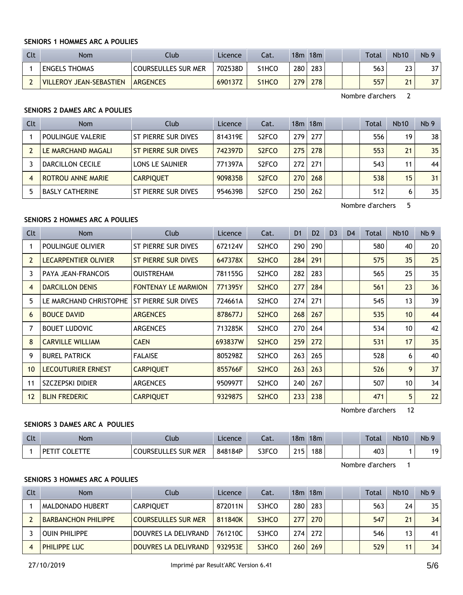#### **SENIORS 1 HOMMES ARC A POULIES**

| Clt | <b>Nom</b>              | Club                       | Licence | Cat.               | 18m              | 18m  | <b>Total</b> | <b>Nb10</b> | Nb <sub>9</sub> |
|-----|-------------------------|----------------------------|---------|--------------------|------------------|------|--------------|-------------|-----------------|
|     | <b>ENGELS THOMAS</b>    | <b>COURSEULLES SUR MER</b> | 702538D | S1HCO              | 280 <sub>1</sub> | 283. | 563          | วว          | 37              |
|     | VILLEROY JEAN-SEBASTIEN | <b>ARGENCES</b>            | 690137Z | S <sub>1</sub> HCO | 279              | 278  | 557          | 24          | 37              |

Nombre d'archers 2

# **SENIORS 2 DAMES ARC A POULIES**

| Clt | <b>Nom</b>               | Club                | Licence | Cat.               |                  | 18m 18m |  | Total | <b>Nb10</b> | Nb <sub>9</sub> |
|-----|--------------------------|---------------------|---------|--------------------|------------------|---------|--|-------|-------------|-----------------|
|     | <b>POULINGUE VALERIE</b> | ST PIERRE SUR DIVES | 814319E | S <sub>2</sub> FCO | 279 <sub>1</sub> | 277     |  | 556   | 19          | 38              |
|     | LE MARCHAND MAGALI       | ST PIERRE SUR DIVES | 742397D | S <sub>2</sub> FCO | 275              | 278     |  | 553   | 21          | 35              |
|     | DARCILLON CECILE         | LONS LE SAUNIER     | 771397A | S <sub>2</sub> FCO | 272              | 271     |  | 543   | 11          | 44              |
|     | <b>ROTROU ANNE MARIE</b> | <b>CARPIOUET</b>    | 909835B | S <sub>2</sub> FCO | 270 <sub>1</sub> | 268     |  | 538   | 15          | 31 <sub>1</sub> |
|     | <b>BASLY CATHERINE</b>   | ST PIERRE SUR DIVES | 954639B | S <sub>2</sub> FCO | 250              | 262     |  | 512   | 6           | 35              |

Nombre d'archers 5

## **SENIORS 2 HOMMES ARC A POULIES**

| Clt            | Nom                       | Club                       | Licence | Cat.                           | D <sub>1</sub> | D <sub>2</sub> | D <sub>3</sub> | D <sub>4</sub> | Total | <b>Nb10</b>     | Nb <sub>9</sub> |
|----------------|---------------------------|----------------------------|---------|--------------------------------|----------------|----------------|----------------|----------------|-------|-----------------|-----------------|
|                | POULINGUE OLIVIER         | ST PIERRE SUR DIVES        | 672124V | S2HCO                          | 290            | 290            |                |                | 580   | 40              | 20 <sup>2</sup> |
| 2              | LECARPENTIER OLIVIER      | ST PIERRE SUR DIVES        | 647378X | S <sub>2</sub> HC <sub>O</sub> | 284            | 291            |                |                | 575   | 35              | 25              |
| 3              | PAYA JEAN-FRANCOIS        | <b>OUISTREHAM</b>          | 781155G | S <sub>2</sub> HCO             | 282            | 283            |                |                | 565   | 25              | 35              |
| $\overline{4}$ | <b>DARCILLON DENIS</b>    | <b>FONTENAY LE MARMION</b> | 771395Y | S <sub>2</sub> HC <sub>O</sub> | 277            | 284            |                |                | 561   | 23              | 36              |
| 5              | LE MARCHAND CHRISTOPHE    | ST PIERRE SUR DIVES        | 724661A | S <sub>2</sub> HC <sub>O</sub> | 274            | 271            |                |                | 545   | 13              | 39              |
| 6              | <b>BOUCE DAVID</b>        | <b>ARGENCES</b>            | 878677J | S <sub>2</sub> HCO             | 268            | 267            |                |                | 535   | 10 <sup>1</sup> | 44              |
| 7              | <b>BOUET LUDOVIC</b>      | <b>ARGENCES</b>            | 713285K | S2HCO                          | 270            | 264            |                |                | 534   | 10 <sup>°</sup> | 42              |
| 8              | <b>CARVILLE WILLIAM</b>   | <b>CAEN</b>                | 693837W | S <sub>2</sub> HC <sub>O</sub> | 259            | 272            |                |                | 531   | 17              | 35              |
| 9              | <b>BUREL PATRICK</b>      | <b>FALAISE</b>             | 805298Z | S <sub>2</sub> HCO             | 263            | 265            |                |                | 528   | 6               | 40              |
| 10             | <b>LECOUTURIER ERNEST</b> | <b>CARPIQUET</b>           | 855766F | S <sub>2</sub> HC <sub>O</sub> | 263            | 263            |                |                | 526   | 9               | 37              |
| 11             | SZCZEPSKI DIDIER          | <b>ARGENCES</b>            | 950997T | S <sub>2</sub> HCO             | 240            | 267            |                |                | 507   | 10              | 34              |
| 12             | <b>BLIN FREDERIC</b>      | <b>CARPIQUET</b>           | 932987S | S <sub>2</sub> H <sub>CO</sub> | 233            | 238            |                |                | 471   | 5               | 22              |

Nombre d'archers 12

# **SENIORS 3 DAMES ARC A POULIES**

| Clt | Nom  | Club                       | Licence | Cat.  | 18m | 18 <sub>m</sub> |  | Total | <b>Nb10</b> | Nb |
|-----|------|----------------------------|---------|-------|-----|-----------------|--|-------|-------------|----|
|     | . DE | <b>COURSEULLES SUR MER</b> | 848184P | S3FCO | 215 | 188             |  | 403   |             | 10 |

Nombre d'archers 1

# **SENIORS 3 HOMMES ARC A POULIES**

| Clt | <b>Nom</b>                 | Club                 | Licence | Cat.  |     | $18m$ 18 $m$ |  | Total | Nb10 | Nb <sub>9</sub> |
|-----|----------------------------|----------------------|---------|-------|-----|--------------|--|-------|------|-----------------|
|     | <b>MALDONADO HUBERT</b>    | <b>CARPIOUET</b>     | 872011N | S3HCO | 280 | 283          |  | 563   | 24   | 35              |
|     | <b>BARBANCHON PHILIPPE</b> | COURSEULLES SUR MER  | 811840K | S3HCO | 277 | 270          |  | 547   | 21   | 34              |
|     | <b>OUIN PHILIPPE</b>       | DOUVRES LA DELIVRAND | 761210C | S3HCO | 274 | 272          |  | 546   | 13   | 41              |
|     | <b>PHILIPPE LUC</b>        | DOUVRES LA DELIVRAND | 932953E | S3HCO | 260 | 269          |  | 529   | 11   | 34              |